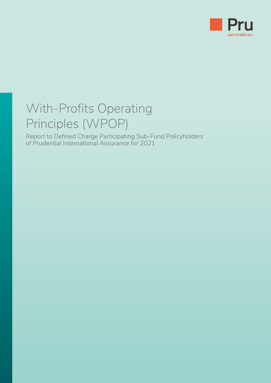

# With-Profits Operating Principles (WPOP)

Report to Defined Charge Participating Sub-Fund Policyholders of Prudential International Assurance for 2021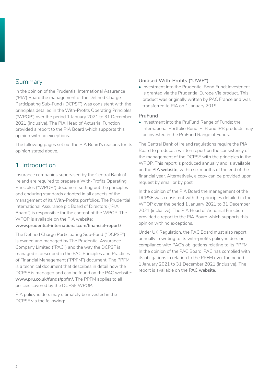## Summary

In the opinion of the Prudential International Assurance ('PIA') Board the management of the Defined Charge Participating Sub-Fund ('DCPSF') was consistent with the principles detailed in the With-Profits Operating Principles ('WPOP') over the period 1 January 2021 to 31 December 2021 (inclusive). The PIA Head of Actuarial Function provided a report to the PIA Board which supports this opinion with no exceptions.

The following pages set out the PIA Board's reasons for its opinion stated above.

## 1. Introduction

Insurance companies supervised by the Central Bank of Ireland are required to prepare a With-Profits Operating Principles ("WPOP") document setting out the principles and enduring standards adopted in all aspects of the management of its With-Profits portfolios. The Prudential International Assurance plc Board of Directors ("PIA Board") is responsible for the content of the WPOP. The WPOP is available on the PIA website:

### **www.prudential-international.com/financial-report/**

The Defined Charge Participating Sub-Fund ("DCPSF") is owned and managed by The Prudential Assurance Company Limited ("PAC") and the way the DCPSF is managed is described in the PAC Principles and Practices of Financial Management ("PPFM") document. The PPFM is a technical document that describes in detail how the DCPSF is managed and can be found on the PAC website: **www.pru.co.uk/funds/ppfm/**. The PPFM applies to all policies covered by the DCPSF WPOP.

PIA policyholders may ultimately be invested in the DCPSF via the following:

## **Unitised With-Profits ("UWP")**

• Investment into the Prudential Bond Fund; investment is granted via the Prudential Europe Vie product. This product was originally written by PAC France and was transferred to PIA on 1 January 2019.

### **PruFund**

• Investment into the PruFund Range of Funds; the International Portfolio Bond, PIIB and IPB products may be invested in the PruFund Range of Funds.

The Central Bank of Ireland regulations require the PIA Board to produce a written report on the consistency of the management of the DCPSF with the principles in the WPOP. This report is produced annually and is available on the **[PIA website](https://www.prudential-international.com/financial-report/)**, within six months of the end of the financial year. Alternatively, a copy can be provided upon request by email or by post.

In the opinion of the PIA Board the management of the DCPSF was consistent with the principles detailed in the WPOP over the period 1 January 2021 to 31 December 2021 (inclusive). The PIA Head of Actuarial Function provided a report to the PIA Board which supports this opinion with no exceptions.

Under UK Regulation, the PAC Board must also report annually in writing to its with-profits policyholders on compliance with PAC's obligations relating to its PPFM. In the opinion of the PAC Board, PAC has complied with its obligations in relation to the PPFM over the period 1 January 2021 to 31 December 2021 (inclusive). The report is available on the **[PAC website](https://www.pru.co.uk/funds/ppfm/)**.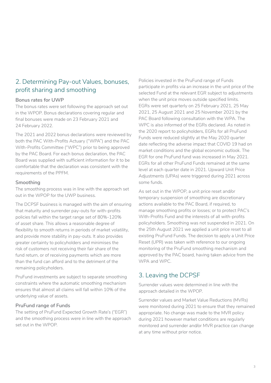# 2. Determining Pay-out Values, bonuses, profit sharing and smoothing

## **Bonus rates for UWP**

The bonus rates were set following the approach set out in the WPOP. Bonus declarations covering regular and final bonuses were made on 23 February 2021 and 24 February 2022.

The 2021 and 2022 bonus declarations were reviewed by both the PAC With-Profits Actuary ("WPA") and the PAC With-Profits Committee ("WPC") prior to being approved by the PAC Board. For each bonus declaration, the PAC Board was supplied with sufficient information for it to be comfortable that the declaration was consistent with the requirements of the PPFM.

#### **Smoothing**

The smoothing process was in line with the approach set out in the WPOP for the UWP business.

The DCPSF business is managed with the aim of ensuring that maturity and surrender pay-outs for with-profits policies fall within the target range set of 80%-120% of asset share. This allows a reasonable degree of flexibility to smooth returns in periods of market volatility, and provide more stability in pay-outs. It also provides greater certainty to policyholders and minimises the risk of customers not receiving their fair share of the fund return, or of receiving payments which are more than the fund can afford and to the detriment of the remaining policyholders.

PruFund investments are subject to separate smoothing constraints where the automatic smoothing mechanism ensures that almost all claims will fall within 10% of the underlying value of assets.

#### **PruFund range of Funds**

The setting of PruFund Expected Growth Rate's ("EGR") and the smoothing process were in line with the approach set out in the WPOP.

Policies invested in the PruFund range of Funds participate in profits via an increase in the unit price of the selected Fund at the relevant EGR subject to adjustments when the unit price moves outside specified limits. EGRs were set quarterly on 25 February 2021, 25 May 2021, 25 August 2021 and 25 November 2021 by the PAC Board following consultation with the WPA. The WPC is also informed of the EGRs declared. As noted in the 2020 report to policyholders, EGRs for all PruFund Funds were reduced slightly at the May 2020 quarter date reflecting the adverse impact that COVID 19 had on market conditions and the global economic outlook. The EGR for one PruFund fund was increased in May 2021. EGRs for all other PruFund Funds remained at the same level at each quarter date in 2021. Upward Unit Price Adjustments (UPAs) were triggered during 2021 across some funds.

As set out in the WPOP, a unit price reset and/or temporary suspension of smoothing are discretionary actions available to the PAC Board, if required, to manage smoothing profits or losses; or to protect PAC's With-Profits Fund and the interests of all with-profits policyholders. Smoothing was not suspended in 2021. On the 25th August 2021 we applied a unit price reset to all existing PruFund Funds. The decision to apply a Unit Price Reset (UPR) was taken with reference to our ongoing monitoring of the PruFund smoothing mechanism and approved by the PAC board, having taken advice from the WPA and WPC.

## 3. Leaving the DCPSF

Surrender values were determined in line with the approach detailed in the WPOP.

Surrender values and Market Value Reductions (MVRs) were monitored during 2021 to ensure that they remained appropriate. No change was made to the MVR policy during 2021 however market conditions are regularly monitored and surrender and/or MVR practice can change at any time without prior notice.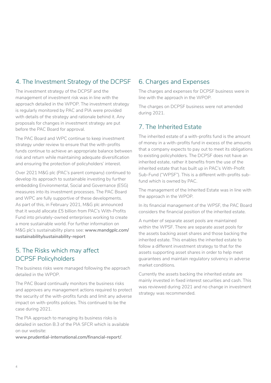# 4. The Investment Strategy of the DCPSF

The investment strategy of the DCPSF and the management of investment risk was in line with the approach detailed in the WPOP. The investment strategy is regularly monitored by PAC and PIA were provided with details of the strategy and rationale behind it. Any proposals for changes in investment strategy are put before the PAC Board for approval.

The PAC Board and WPC continue to keep investment strategy under review to ensure that the with-profits funds continue to achieve an appropriate balance between risk and return while maintaining adequate diversification and ensuring the protection of policyholders' interest.

Over 2021 M&G plc (PAC's parent company) continued to develop its approach to sustainable investing by further embedding Environmental, Social and Governance (ESG) measures into its investment processes. The PAC Board and WPC are fully supportive of these developments. As part of this, in February 2021, M&G plc announced that it would allocate £5 billion from PAC's With-Profits Fund into privately-owned enterprises working to create a more sustainable world. For further information on M&G plc's sustainability plans see: **www.mandgplc.com/ sustainability/sustainability-report**

## 5. The Risks which may affect DCPSF Policyholders

The business risks were managed following the approach detailed in the WPOP.

The PAC Board continually monitors the business risks and approves any management actions required to protect the security of the with-profits funds and limit any adverse impact on with-profits policies. This continued to be the case during 2021.

The PIA approach to managing its business risks is detailed in section B.3 of the PIA SFCR which is available on our website:

**www.prudential-international.com/financial-report/**.

## 6. Charges and Expenses

The charges and expenses for DCPSF business were in line with the approach in the WPOP.

The charges on DCPSF business were not amended during 2021.

# 7. The Inherited Estate

The inherited estate of a with-profits fund is the amount of money in a with-profits fund in excess of the amounts that a company expects to pay out to meet its obligations to existing policyholders. The DCPSF does not have an inherited estate, rather it benefits from the use of the inherited estate that has built up in PAC's With-Profit Sub-Fund ("WPSF"). This is a different with-profits subfund which is owned by PAC.

The management of the Inherited Estate was in line with the approach in the WPOP.

In its financial management of the WPSF, the PAC Board considers the financial position of the inherited estate.

A number of separate asset pools are maintained within the WPSF. There are separate asset pools for the assets backing asset shares and those backing the inherited estate. This enables the inherited estate to follow a different investment strategy to that for the assets supporting asset shares in order to help meet guarantees and maintain regulatory solvency in adverse market conditions.

Currently the assets backing the inherited estate are mainly invested in fixed interest securities and cash. This was reviewed during 2021 and no change in investment strategy was recommended.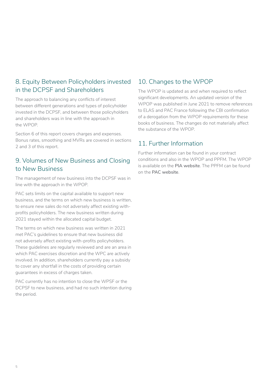# 8. Equity Between Policyholders invested in the DCPSF and Shareholders

The approach to balancing any conflicts of interest between different generations and types of policyholder invested in the DCPSF, and between those policyholders and shareholders was in line with the approach in the WPOP.

Section 6 of this report covers charges and expenses. Bonus rates, smoothing and MVRs are covered in sections 2 and 3 of this report.

# 9. Volumes of New Business and Closing to New Business

The management of new business into the DCPSF was in line with the approach in the WPOP.

PAC sets limits on the capital available to support new business, and the terms on which new business is written, to ensure new sales do not adversely affect existing withprofits policyholders. The new business written during 2021 stayed within the allocated capital budget.

The terms on which new business was written in 2021 met PAC's guidelines to ensure that new business did not adversely affect existing with-profits policyholders. These guidelines are regularly reviewed and are an area in which PAC exercises discretion and the WPC are actively involved. In addition, shareholders currently pay a subsidy to cover any shortfall in the costs of providing certain guarantees in excess of charges taken.

PAC currently has no intention to close the WPSF or the DCPSF to new business, and had no such intention during the period.

# 10. Changes to the WPOP

The WPOP is updated as and when required to reflect significant developments. An updated version of the WPOP was published in June 2021 to remove references to ELAS and PAC France following the CBI confirmation of a derogation from the WPOP requirements for these books of business. The changes do not materially affect the substance of the WPOP.

# 11. Further Information

Further information can be found in your contract conditions and also in the WPOP and PPFM. The WPOP is available on the **[PIA website](https://www.prudential-international.com/financial-report/)**. The PPFM can be found on the **[PAC website](https://www.pru.co.uk/funds/ppfm/)**.